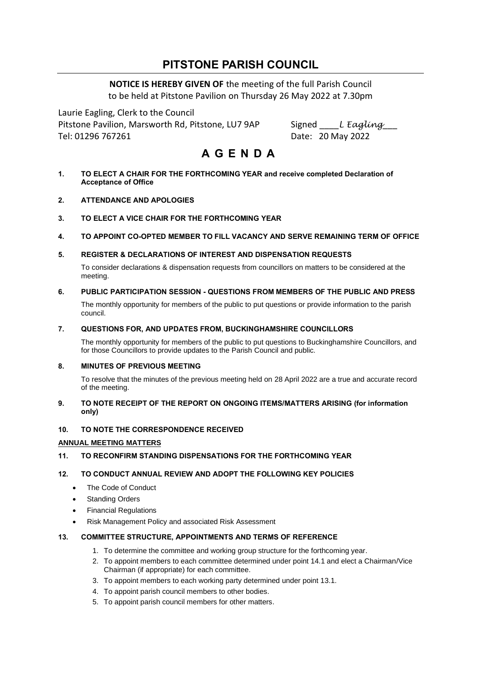# **PITSTONE PARISH COUNCIL**

**NOTICE IS HEREBY GIVEN OF** the meeting of the full Parish Council to be held at Pitstone Pavilion on Thursday 26 May 2022 at 7.30pm

Laurie Eagling, Clerk to the Council Pitstone Pavilion, Marsworth Rd, Pitstone, LU7 9AP Signed L Eagling Tel: 01296 767261 Date: 20 May 2022

# **A G E N D A**

- **1. TO ELECT A CHAIR FOR THE FORTHCOMING YEAR and receive completed Declaration of Acceptance of Office**
- **2. ATTENDANCE AND APOLOGIES**
- **3. TO ELECT A VICE CHAIR FOR THE FORTHCOMING YEAR**
- **4. TO APPOINT CO-OPTED MEMBER TO FILL VACANCY AND SERVE REMAINING TERM OF OFFICE**
- **5. REGISTER & DECLARATIONS OF INTEREST AND DISPENSATION REQUESTS**

To consider declarations & dispensation requests from councillors on matters to be considered at the meeting.

# **6. PUBLIC PARTICIPATION SESSION - QUESTIONS FROM MEMBERS OF THE PUBLIC AND PRESS**

The monthly opportunity for members of the public to put questions or provide information to the parish council.

# **7. QUESTIONS FOR, AND UPDATES FROM, BUCKINGHAMSHIRE COUNCILLORS**

The monthly opportunity for members of the public to put questions to Buckinghamshire Councillors, and for those Councillors to provide updates to the Parish Council and public.

# **8. MINUTES OF PREVIOUS MEETING**

To resolve that the minutes of the previous meeting held on 28 April 2022 are a true and accurate record of the meeting.

# **9. TO NOTE RECEIPT OF THE REPORT ON ONGOING ITEMS/MATTERS ARISING (for information only)**

# **10. TO NOTE THE CORRESPONDENCE RECEIVED**

# **ANNUAL MEETING MATTERS**

**11. TO RECONFIRM STANDING DISPENSATIONS FOR THE FORTHCOMING YEAR**

# **12. TO CONDUCT ANNUAL REVIEW AND ADOPT THE FOLLOWING KEY POLICIES**

- The Code of Conduct
- **Standing Orders**
- Financial Regulations
- Risk Management Policy and associated Risk Assessment

# **13. COMMITTEE STRUCTURE, APPOINTMENTS AND TERMS OF REFERENCE**

- 1. To determine the committee and working group structure for the forthcoming year.
- 2. To appoint members to each committee determined under point 14.1 and elect a Chairman/Vice Chairman (if appropriate) for each committee.
- 3. To appoint members to each working party determined under point 13.1.
- 4. To appoint parish council members to other bodies.
- 5. To appoint parish council members for other matters.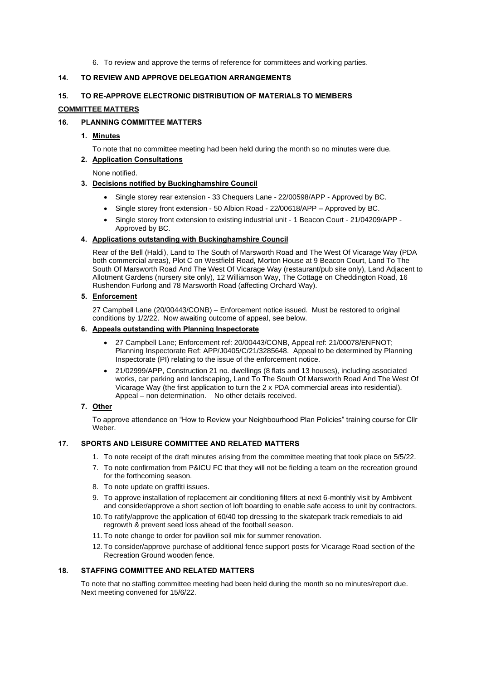6. To review and approve the terms of reference for committees and working parties.

# **14. TO REVIEW AND APPROVE DELEGATION ARRANGEMENTS**

#### **15. TO RE-APPROVE ELECTRONIC DISTRIBUTION OF MATERIALS TO MEMBERS**

#### **COMMITTEE MATTERS**

## **16. PLANNING COMMITTEE MATTERS**

# **1. Minutes**

To note that no committee meeting had been held during the month so no minutes were due.

# **2. Application Consultations**

None notified.

# **3. Decisions notified by Buckinghamshire Council**

- [Single storey rear extension -](https://publicaccess.aylesburyvaledc.gov.uk/online-applications/centralDistribution.do?caseType=Application&keyVal=R7GGTSCLN4Q00) 33 Chequers Lane 22/00598/APP Approved by BC.
- [Single storey front extension -](https://publicaccess.aylesburyvaledc.gov.uk/online-applications/centralDistribution.do?caseType=Application&keyVal=R7I770CLFHW00) 50 Albion Road 22/00618/APP Approved by BC.
- [Single storey front extension to existing industrial unit -](https://publicaccess.aylesburyvaledc.gov.uk/online-applications/centralDistribution.do?caseType=Application&keyVal=R1OZ6VCLIAO00) 1 Beacon Court 21/04209/APP Approved by BC.

#### **4. Applications outstanding with Buckinghamshire Council**

Rear of the Bell (Haldi), Land to The South of Marsworth Road and The West Of Vicarage Way (PDA both commercial areas), Plot C on Westfield Road, Morton House at 9 Beacon Court, Land To The South Of Marsworth Road And The West Of Vicarage Way (restaurant/pub site only), Land Adjacent to Allotment Gardens (nursery site only), 12 Williamson Way, The Cottage on Cheddington Road, 16 Rushendon Furlong and 78 Marsworth Road (affecting Orchard Way).

#### **5. Enforcement**

27 Campbell Lane (20/00443/CONB) – Enforcement notice issued. Must be restored to original conditions by 1/2/22. Now awaiting outcome of appeal, see below.

# **6. Appeals outstanding with Planning Inspectorate**

- 27 Campbell Lane; Enforcement ref: 20/00443/CONB, Appeal ref: 21/00078/ENFNOT; Planning Inspectorate Ref: APP/J0405/C/21/3285648. Appeal to be determined by Planning Inspectorate (PI) relating to the issue of the enforcement notice.
- 21/02999/APP, Construction 21 no. dwellings (8 flats and 13 houses), including associated works, car parking and landscaping, Land To The South Of Marsworth Road And The West Of Vicarage Way (the first application to turn the 2 x PDA commercial areas into residential). Appeal – non determination. No other details received.

#### **7. Other**

To approve attendance on "How to Review your Neighbourhood Plan Policies" training course for Cllr Weber.

# **17. SPORTS AND LEISURE COMMITTEE AND RELATED MATTERS**

- 1. To note receipt of the draft minutes arising from the committee meeting that took place on 5/5/22.
- 7. To note confirmation from P&ICU FC that they will not be fielding a team on the recreation ground for the forthcoming season.
- 8. To note update on graffiti issues.
- 9. To approve installation of replacement air conditioning filters at next 6-monthly visit by Ambivent and consider/approve a short section of loft boarding to enable safe access to unit by contractors.
- 10. To ratify/approve the application of 60/40 top dressing to the skatepark track remedials to aid regrowth & prevent seed loss ahead of the football season.
- 11. To note change to order for pavilion soil mix for summer renovation.
- 12. To consider/approve purchase of additional fence support posts for Vicarage Road section of the Recreation Ground wooden fence.

# **18. STAFFING COMMITTEE AND RELATED MATTERS**

To note that no staffing committee meeting had been held during the month so no minutes/report due. Next meeting convened for 15/6/22.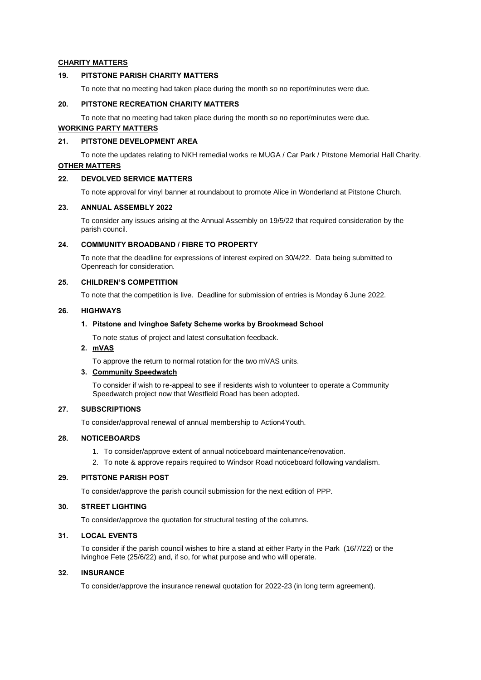## **CHARITY MATTERS**

#### **19. PITSTONE PARISH CHARITY MATTERS**

To note that no meeting had taken place during the month so no report/minutes were due.

#### **20. PITSTONE RECREATION CHARITY MATTERS**

To note that no meeting had taken place during the month so no report/minutes were due.

# **WORKING PARTY MATTERS**

# **21. PITSTONE DEVELOPMENT AREA**

To note the updates relating to NKH remedial works re MUGA / Car Park / Pitstone Memorial Hall Charity.

# **OTHER MATTERS**

#### **22. DEVOLVED SERVICE MATTERS**

To note approval for vinyl banner at roundabout to promote Alice in Wonderland at Pitstone Church.

#### **23. ANNUAL ASSEMBLY 2022**

To consider any issues arising at the Annual Assembly on 19/5/22 that required consideration by the parish council.

## **24. COMMUNITY BROADBAND / FIBRE TO PROPERTY**

To note that the deadline for expressions of interest expired on 30/4/22. Data being submitted to Openreach for consideration.

# **25. CHILDREN'S COMPETITION**

To note that the competition is live. Deadline for submission of entries is Monday 6 June 2022.

#### **26. HIGHWAYS**

#### **1. Pitstone and Ivinghoe Safety Scheme works by Brookmead School**

To note status of project and latest consultation feedback.

# **2. mVAS**

To approve the return to normal rotation for the two mVAS units.

#### **3. Community Speedwatch**

To consider if wish to re-appeal to see if residents wish to volunteer to operate a Community Speedwatch project now that Westfield Road has been adopted.

#### **27. SUBSCRIPTIONS**

To consider/approval renewal of annual membership to Action4Youth.

### **28. NOTICEBOARDS**

- 1. To consider/approve extent of annual noticeboard maintenance/renovation.
- 2. To note & approve repairs required to Windsor Road noticeboard following vandalism.

#### **29. PITSTONE PARISH POST**

To consider/approve the parish council submission for the next edition of PPP.

#### **30. STREET LIGHTING**

To consider/approve the quotation for structural testing of the columns.

## **31. LOCAL EVENTS**

To consider if the parish council wishes to hire a stand at either Party in the Park (16/7/22) or the Ivinghoe Fete (25/6/22) and, if so, for what purpose and who will operate.

#### **32. INSURANCE**

To consider/approve the insurance renewal quotation for 2022-23 (in long term agreement).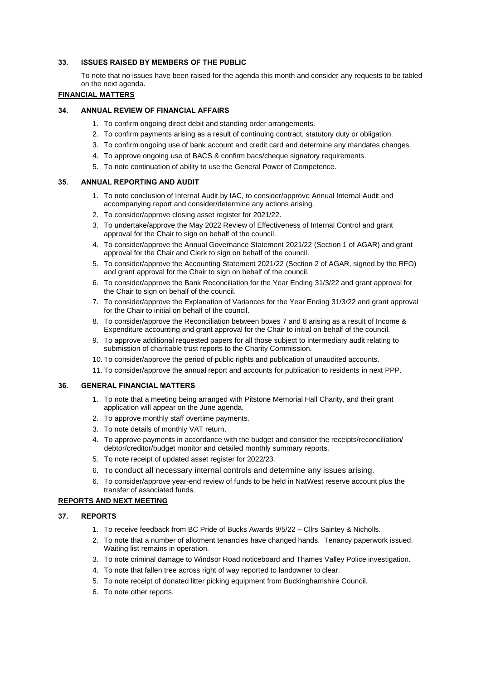#### **33. ISSUES RAISED BY MEMBERS OF THE PUBLIC**

To note that no issues have been raised for the agenda this month and consider any requests to be tabled on the next agenda.

# **FINANCIAL MATTERS**

# **34. ANNUAL REVIEW OF FINANCIAL AFFAIRS**

- 1. To confirm ongoing direct debit and standing order arrangements.
- 2. To confirm payments arising as a result of continuing contract, statutory duty or obligation.
- 3. To confirm ongoing use of bank account and credit card and determine any mandates changes.
- 4. To approve ongoing use of BACS & confirm bacs/cheque signatory requirements.
- 5. To note continuation of ability to use the General Power of Competence.

#### **35. ANNUAL REPORTING AND AUDIT**

- 1. To note conclusion of Internal Audit by IAC, to consider/approve Annual Internal Audit and accompanying report and consider/determine any actions arising.
- 2. To consider/approve closing asset register for 2021/22.
- 3. To undertake/approve the May 2022 Review of Effectiveness of Internal Control and grant approval for the Chair to sign on behalf of the council.
- 4. To consider/approve the Annual Governance Statement 2021/22 (Section 1 of AGAR) and grant approval for the Chair and Clerk to sign on behalf of the council.
- 5. To consider/approve the Accounting Statement 2021/22 (Section 2 of AGAR, signed by the RFO) and grant approval for the Chair to sign on behalf of the council.
- 6. To consider/approve the Bank Reconciliation for the Year Ending 31/3/22 and grant approval for the Chair to sign on behalf of the council.
- 7. To consider/approve the Explanation of Variances for the Year Ending 31/3/22 and grant approval for the Chair to initial on behalf of the council.
- 8. To consider/approve the Reconciliation between boxes 7 and 8 arising as a result of Income & Expenditure accounting and grant approval for the Chair to initial on behalf of the council.
- 9. To approve additional requested papers for all those subject to intermediary audit relating to submission of charitable trust reports to the Charity Commission.
- 10. To consider/approve the period of public rights and publication of unaudited accounts.
- 11. To consider/approve the annual report and accounts for publication to residents in next PPP.

#### **36. GENERAL FINANCIAL MATTERS**

- 1. To note that a meeting being arranged with Pitstone Memorial Hall Charity, and their grant application will appear on the June agenda.
- 2. To approve monthly staff overtime payments.
- 3. To note details of monthly VAT return.
- 4. To approve paymen**t**s in accordance with the budget and consider the receipts/reconciliation/ debtor/creditor/budget monitor and detailed monthly summary reports.
- 5. To note receipt of updated asset register for 2022/23.
- 6. To conduct all necessary internal controls and determine any issues arising.
- 6. To consider/approve year-end review of funds to be held in NatWest reserve account plus the transfer of associated funds.

#### **REPORTS AND NEXT MEETING**

#### **37. REPORTS**

- 1. To receive feedback from BC Pride of Bucks Awards 9/5/22 Cllrs Saintey & Nicholls.
- 2. To note that a number of allotment tenancies have changed hands. Tenancy paperwork issued. Waiting list remains in operation.
- 3. To note criminal damage to Windsor Road noticeboard and Thames Valley Police investigation.
- 4. To note that fallen tree across right of way reported to landowner to clear.
- 5. To note receipt of donated litter picking equipment from Buckinghamshire Council.
- 6. To note other reports.